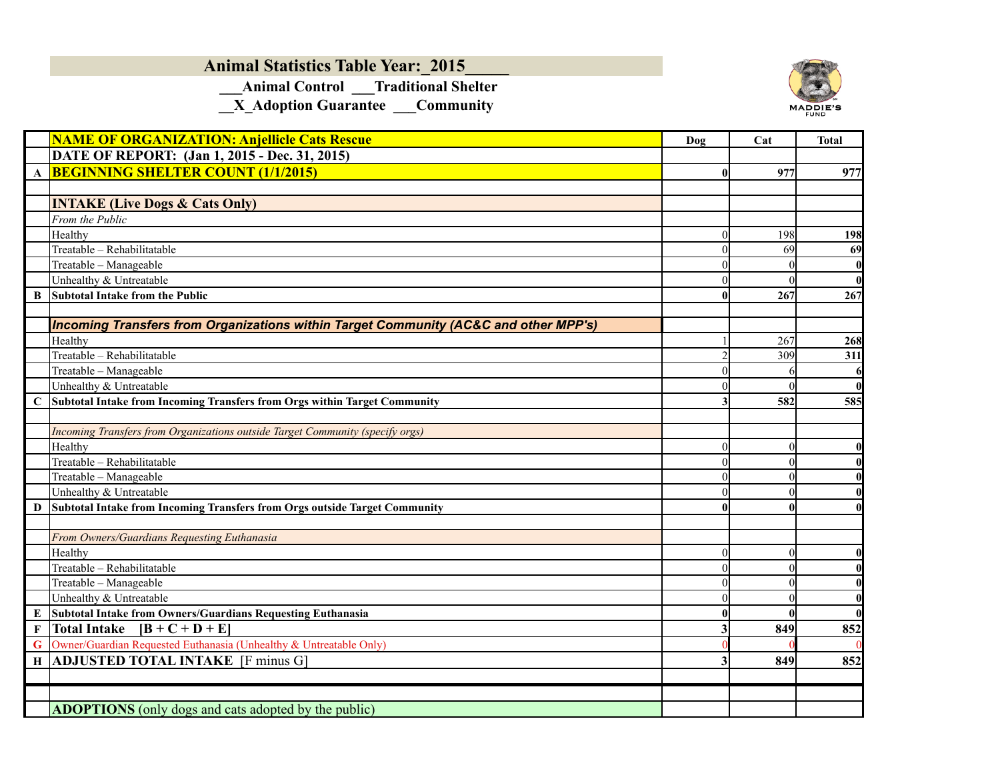## **Animal Statistics Table Year:\_2015\_\_\_\_\_**

 **\_\_\_Animal Control \_\_\_Traditional Shelter**

**\_\_X\_Adoption Guarantee \_\_\_Community**



|              | <b>NAME OF ORGANIZATION: Anjellicle Cats Rescue</b>                                               | Dog                  | Cat      | <b>Total</b>     |
|--------------|---------------------------------------------------------------------------------------------------|----------------------|----------|------------------|
|              | DATE OF REPORT: (Jan 1, 2015 - Dec. 31, 2015)                                                     |                      |          |                  |
| $\mathbf{A}$ | <b>BEGINNING SHELTER COUNT (1/1/2015)</b>                                                         | 0                    | 977      | 977              |
|              |                                                                                                   |                      |          |                  |
|              | <b>INTAKE (Live Dogs &amp; Cats Only)</b>                                                         |                      |          |                  |
|              | From the Public                                                                                   |                      |          |                  |
|              | Healthy                                                                                           | $\Omega$             | 198      | 198              |
|              | Treatable - Rehabilitatable                                                                       | $\Omega$             | 69       | 69               |
|              | Treatable - Manageable                                                                            |                      |          | $\boldsymbol{0}$ |
|              | Unhealthy & Untreatable                                                                           | $\Omega$             |          | $\boldsymbol{0}$ |
| B            | <b>Subtotal Intake from the Public</b>                                                            | $\mathbf{0}$         | 267      | 267              |
|              |                                                                                                   |                      |          |                  |
|              | Incoming Transfers from Organizations within Target Community (AC&C and other MPP's)              |                      |          |                  |
|              | Healthy                                                                                           |                      | 267      | 268              |
|              | Treatable - Rehabilitatable                                                                       | $\overline{2}$       | 309      | 311              |
|              | Treatable - Manageable                                                                            |                      |          | 6                |
|              | Unhealthy & Untreatable                                                                           | $\Omega$             |          | $\mathbf{0}$     |
| C            | Subtotal Intake from Incoming Transfers from Orgs within Target Community                         |                      | 582      | 585              |
|              |                                                                                                   |                      |          |                  |
|              | Incoming Transfers from Organizations outside Target Community (specify orgs)                     |                      |          |                  |
|              | Healthy                                                                                           | $\Omega$             | $\theta$ | $\boldsymbol{0}$ |
|              | Treatable - Rehabilitatable                                                                       | $\Omega$             | $\Omega$ | $\boldsymbol{0}$ |
|              | Treatable - Manageable                                                                            | $\Omega$             |          | $\boldsymbol{0}$ |
|              | Unhealthy & Untreatable                                                                           | $\Omega$             |          | $\bf{0}$         |
| D            | Subtotal Intake from Incoming Transfers from Orgs outside Target Community                        | $\mathbf{0}$         |          | $\bf{0}$         |
|              |                                                                                                   |                      |          |                  |
|              | From Owners/Guardians Requesting Euthanasia                                                       |                      |          |                  |
|              | Healthy<br>Treatable - Rehabilitatable                                                            | $\theta$             | 0        | $\bf{0}$         |
|              |                                                                                                   | $\Omega$<br>$\Omega$ | $\theta$ | $\bf{0}$         |
|              | Treatable - Manageable<br>Unhealthy & Untreatable                                                 | $\Omega$             |          | $\boldsymbol{0}$ |
|              |                                                                                                   |                      | 0        | $\bf{0}$         |
| E            | Subtotal Intake from Owners/Guardians Requesting Euthanasia<br><b>Total Intake</b><br>$[B+C+D+E]$ | $\mathbf{0}$         |          | $\bf{0}$         |
| $\mathbf F$  |                                                                                                   |                      | 849      | 852              |
| G            | Owner/Guardian Requested Euthanasia (Unhealthy & Untreatable Only)                                |                      |          |                  |
| H            | <b>ADJUSTED TOTAL INTAKE</b> [F minus G]                                                          |                      | 849      | 852              |
|              |                                                                                                   |                      |          |                  |
|              |                                                                                                   |                      |          |                  |
|              | <b>ADOPTIONS</b> (only dogs and cats adopted by the public)                                       |                      |          |                  |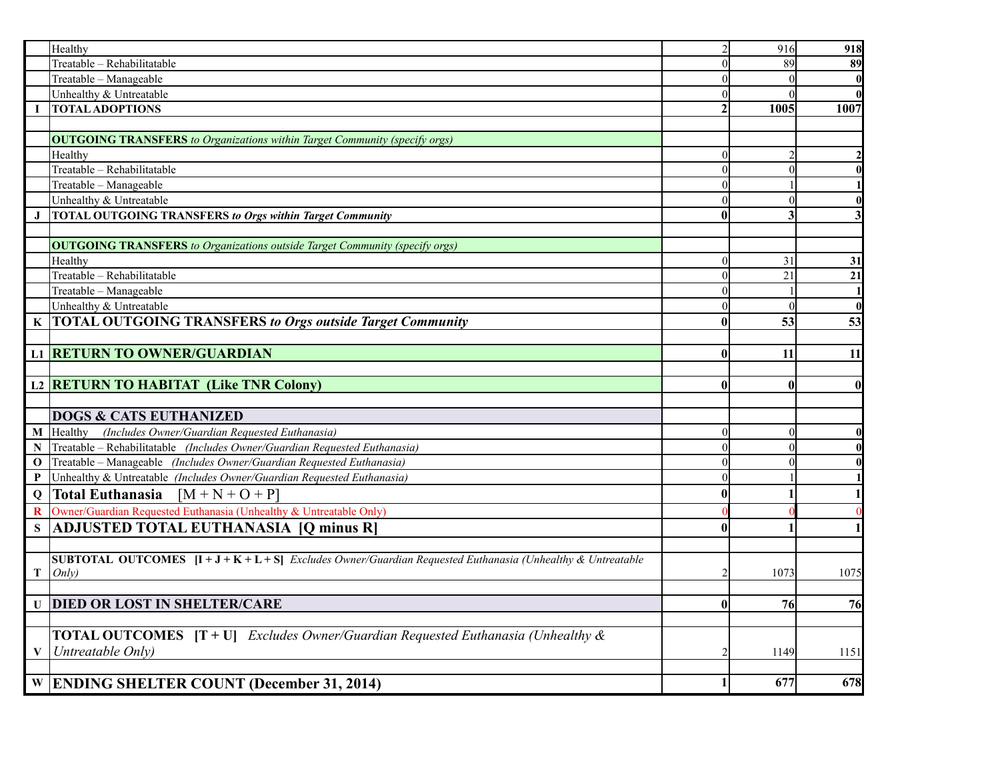|              | Healthy                                                                                                                         | $\overline{2}$          | 916            | 918          |
|--------------|---------------------------------------------------------------------------------------------------------------------------------|-------------------------|----------------|--------------|
|              | Treatable - Rehabilitatable                                                                                                     | $\Omega$                | 89             | 89           |
|              | Treatable - Manageable                                                                                                          | $\Omega$                |                |              |
|              | Unhealthy & Untreatable                                                                                                         | $\Omega$                |                |              |
| $\mathbf{I}$ | <b>TOTAL ADOPTIONS</b>                                                                                                          | $\overline{2}$          | 1005           | 1007         |
|              |                                                                                                                                 |                         |                |              |
|              | <b>OUTGOING TRANSFERS</b> to Organizations within Target Community (specify orgs)                                               |                         |                |              |
|              | Healthy                                                                                                                         | $\overline{0}$          | $\overline{2}$ |              |
|              | Treatable - Rehabilitatable                                                                                                     | $\theta$                | $\overline{0}$ |              |
|              | Treatable - Manageable                                                                                                          | $\Omega$                |                |              |
|              | Unhealthy & Untreatable                                                                                                         | $\Omega$                | $\theta$       |              |
| $\bf J$      | <b>TOTAL OUTGOING TRANSFERS to Orgs within Target Community</b>                                                                 | $\bf{0}$                | 3              |              |
|              |                                                                                                                                 |                         |                |              |
|              | <b>OUTGOING TRANSFERS</b> to Organizations outside Target Community (specify orgs)                                              |                         |                |              |
|              | Healthy                                                                                                                         | $\overline{0}$          | 31             | 31           |
|              | Treatable - Rehabilitatable                                                                                                     | $\theta$                | 21             | 21           |
|              | Treatable - Manageable                                                                                                          | $\Omega$                |                |              |
|              | Unhealthy & Untreatable                                                                                                         | $\theta$                | $\theta$       |              |
|              | K  TOTAL OUTGOING TRANSFERS to Orgs outside Target Community                                                                    | $\bf{0}$                | 53             | 53           |
|              |                                                                                                                                 |                         |                |              |
|              | <b>L1 RETURN TO OWNER/GUARDIAN</b>                                                                                              | $\bf{0}$                | 11             | 11           |
|              |                                                                                                                                 |                         |                |              |
|              | L2 <b>RETURN TO HABITAT</b> (Like TNR Colony)                                                                                   | $\mathbf{0}$            | $\bf{0}$       | $\mathbf{0}$ |
|              |                                                                                                                                 |                         |                |              |
|              | <b>DOGS &amp; CATS EUTHANIZED</b>                                                                                               |                         |                |              |
|              | M Healthy (Includes Owner/Guardian Requested Euthanasia)                                                                        | $\theta$                | $\theta$       |              |
| N            | Treatable – Rehabilitatable (Includes Owner/Guardian Requested Euthanasia)                                                      | $\theta$                | $\theta$       |              |
| $\bf{0}$     | Treatable – Manageable (Includes Owner/Guardian Requested Euthanasia)                                                           | $\Omega$                | $\Omega$       |              |
| P            | Unhealthy & Untreatable (Includes Owner/Guardian Requested Euthanasia)                                                          | $\theta$                |                |              |
| Q            | Total Euthanasia $[M+N+O+P]$                                                                                                    | $\bf{0}$                |                |              |
| $\bf{R}$     | Owner/Guardian Requested Euthanasia (Unhealthy & Untreatable Only)                                                              |                         |                |              |
|              | <b>ADJUSTED TOTAL EUTHANASIA [Q minus R]</b>                                                                                    | $\mathbf{0}$            |                |              |
|              |                                                                                                                                 |                         |                |              |
|              | <b>SUBTOTAL OUTCOMES</b> $[I + J + K + L + S]$ <i>Excludes Owner/Guardian Requested Euthanasia (Unhealthy &amp; Untreatable</i> |                         |                |              |
| T            | Only)                                                                                                                           | $\overline{2}$          | 1073           | 1075         |
|              |                                                                                                                                 |                         |                |              |
|              | <b>U DIED OR LOST IN SHELTER/CARE</b>                                                                                           | $\bf{0}$                | 76             | 76           |
|              |                                                                                                                                 |                         |                |              |
|              | <b>TOTAL OUTCOMES</b> $[T + U]$ <i>Excludes Owner/Guardian Requested Euthanasia (Unhealthy &amp;</i>                            |                         |                |              |
| $\mathbf{V}$ | Untreatable Only)                                                                                                               | $\mathcal{D}_{1}^{(1)}$ | 1149           | 1151         |
|              |                                                                                                                                 |                         |                |              |
|              | W ENDING SHELTER COUNT (December 31, 2014)                                                                                      |                         | 677            | 678          |
|              |                                                                                                                                 |                         |                |              |